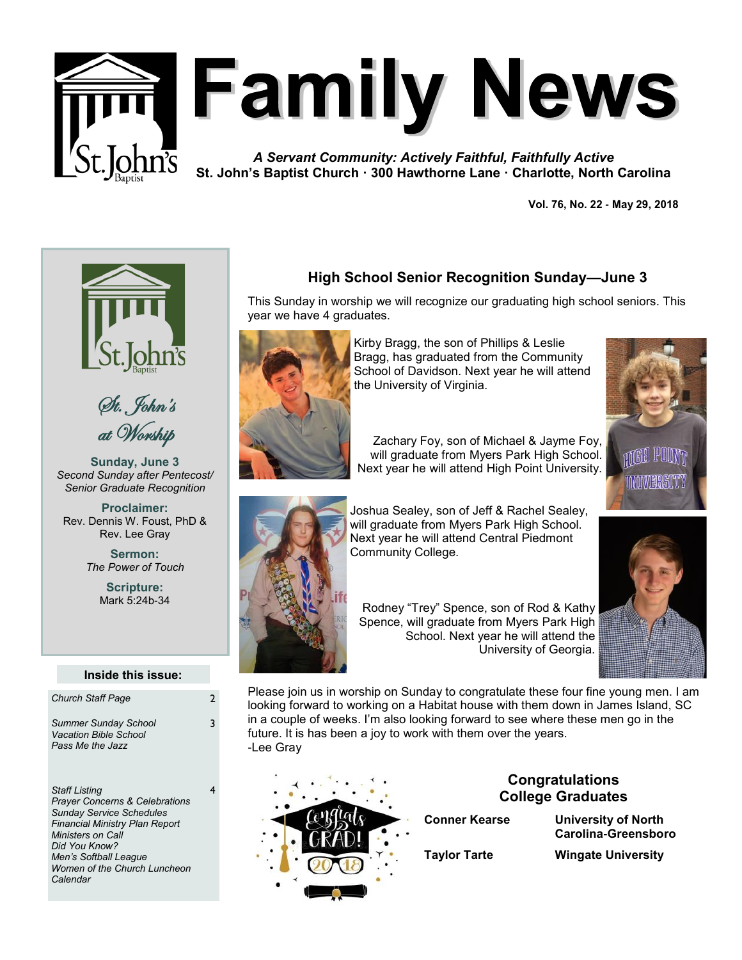

# **Family News**

*A Servant Community: Actively Faithful, Faithfully Active* **St. John's Baptist Church · 300 Hawthorne Lane · Charlotte, North Carolina**

**Vol. 76, No. 22 - May 29, 2018** 





**Sunday, June 3** *Second Sunday after Pentecost/ Senior Graduate Recognition*

**Proclaimer:** Rev. Dennis W. Foust, PhD & Rev. Lee Gray

> **Sermon:** *The Power of Touch*

> > **Scripture:** Mark 5:24b-34

#### **Inside this issue:**

3

4

| <b>Church Staff Page</b>                                                        |   |
|---------------------------------------------------------------------------------|---|
| <b>Summer Sunday School</b><br><b>Vacation Bible School</b><br>Pass Me the Jazz | ٦ |

*Staff Listing Prayer Concerns & Celebrations Sunday Service Schedules Financial Ministry Plan Report Ministers on Call Did You Know? Men's Softball League Women of the Church Luncheon Calendar*

# **High School Senior Recognition Sunday—June 3**

This Sunday in worship we will recognize our graduating high school seniors. This year we have 4 graduates.



Kirby Bragg, the son of Phillips & Leslie Bragg, has graduated from the Community School of Davidson. Next year he will attend the University of Virginia.

Zachary Foy, son of Michael & Jayme Foy, will graduate from Myers Park High School. Next year he will attend High Point University.





Joshua Sealey, son of Jeff & Rachel Sealey, will graduate from Myers Park High School. Next year he will attend Central Piedmont Community College.

Rodney "Trey" Spence, son of Rod & Kathy Spence, will graduate from Myers Park High School. Next year he will attend the University of Georgia.



Please join us in worship on Sunday to congratulate these four fine young men. I am looking forward to working on a Habitat house with them down in James Island, SC in a couple of weeks. I'm also looking forward to see where these men go in the future. It is has been a joy to work with them over the years. -Lee Gray



# **Congratulations College Graduates**

**Conner Kearse University of North Carolina-Greensboro**

**Taylor Tarte Wingate University**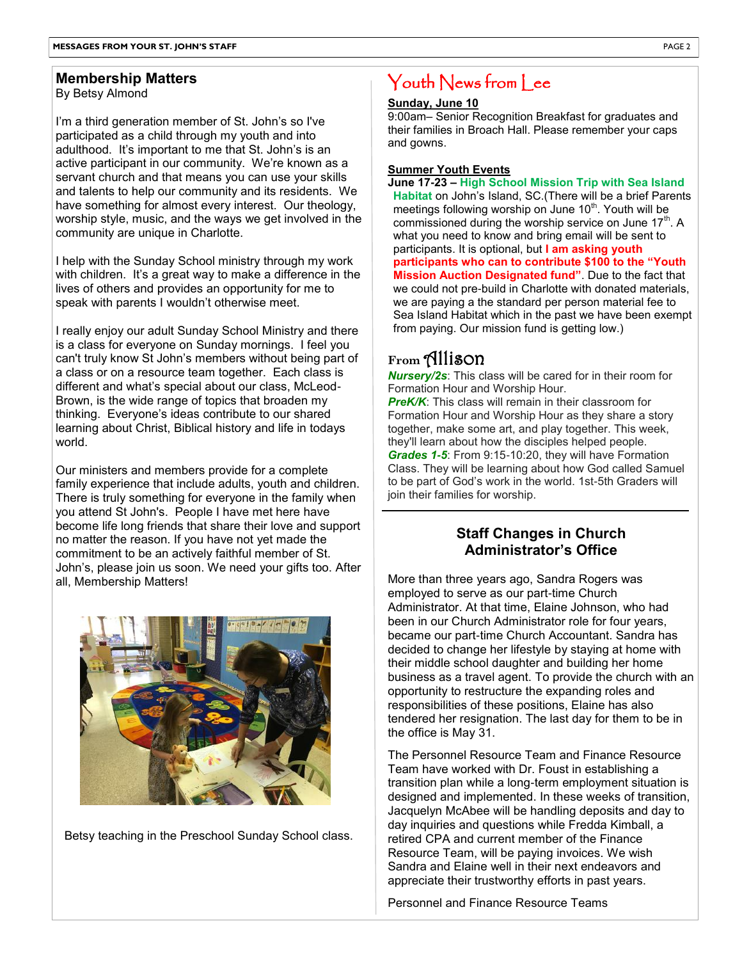#### **Membership Matters**

By Betsy Almond

I'm a third generation member of St. John's so I've participated as a child through my youth and into adulthood. It's important to me that St. John's is an active participant in our community. We're known as a servant church and that means you can use your skills and talents to help our community and its residents. We have something for almost every interest. Our theology, worship style, music, and the ways we get involved in the community are unique in Charlotte.

I help with the Sunday School ministry through my work with children. It's a great way to make a difference in the lives of others and provides an opportunity for me to speak with parents I wouldn't otherwise meet.

I really enjoy our adult Sunday School Ministry and there is a class for everyone on Sunday mornings. I feel you can't truly know St John's members without being part of a class or on a resource team together. Each class is different and what's special about our class, McLeod-Brown, is the wide range of topics that broaden my thinking. Everyone's ideas contribute to our shared learning about Christ, Biblical history and life in todays world.

Our ministers and members provide for a complete family experience that include adults, youth and children. There is truly something for everyone in the family when you attend St John's. People I have met here have become life long friends that share their love and support no matter the reason. If you have not yet made the commitment to be an actively faithful member of St. John's, please join us soon. We need your gifts too. After all, Membership Matters!



Betsy teaching in the Preschool Sunday School class.

# Youth News from Lee

#### **Sunday, June 10**

9:00am– Senior Recognition Breakfast for graduates and their families in Broach Hall. Please remember your caps and gowns.

#### **Summer Youth Events**

**June 17-23 – High School Mission Trip with Sea Island Habitat** on John's Island, SC.(There will be a brief Parents meetings following worship on June 10<sup>th</sup>. Youth will be commissioned during the worship service on June  $17<sup>th</sup>$ . A what you need to know and bring email will be sent to participants. It is optional, but **I am asking youth participants who can to contribute \$100 to the "Youth Mission Auction Designated fund"**. Due to the fact that we could not pre-build in Charlotte with donated materials, we are paying a the standard per person material fee to Sea Island Habitat which in the past we have been exempt from paying. Our mission fund is getting low.)

# **From** Allison

*Nursery/2s*: This class will be cared for in their room for Formation Hour and Worship Hour.

**PreK/K:** This class will remain in their classroom for Formation Hour and Worship Hour as they share a story together, make some art, and play together. This week, they'll learn about how the disciples helped people. *Grades 1-5*: From 9:15-10:20, they will have Formation Class. They will be learning about how God called Samuel to be part of God's work in the world. 1st-5th Graders will join their families for worship.

# **Staff Changes in Church Administrator's Office**

More than three years ago, Sandra Rogers was employed to serve as our part-time Church Administrator. At that time, Elaine Johnson, who had been in our Church Administrator role for four years, became our part-time Church Accountant. Sandra has decided to change her lifestyle by staying at home with their middle school daughter and building her home business as a travel agent. To provide the church with an opportunity to restructure the expanding roles and responsibilities of these positions, Elaine has also tendered her resignation. The last day for them to be in the office is May 31.

The Personnel Resource Team and Finance Resource Team have worked with Dr. Foust in establishing a transition plan while a long-term employment situation is designed and implemented. In these weeks of transition, Jacquelyn McAbee will be handling deposits and day to day inquiries and questions while Fredda Kimball, a retired CPA and current member of the Finance Resource Team, will be paying invoices. We wish Sandra and Elaine well in their next endeavors and appreciate their trustworthy efforts in past years.

Personnel and Finance Resource Teams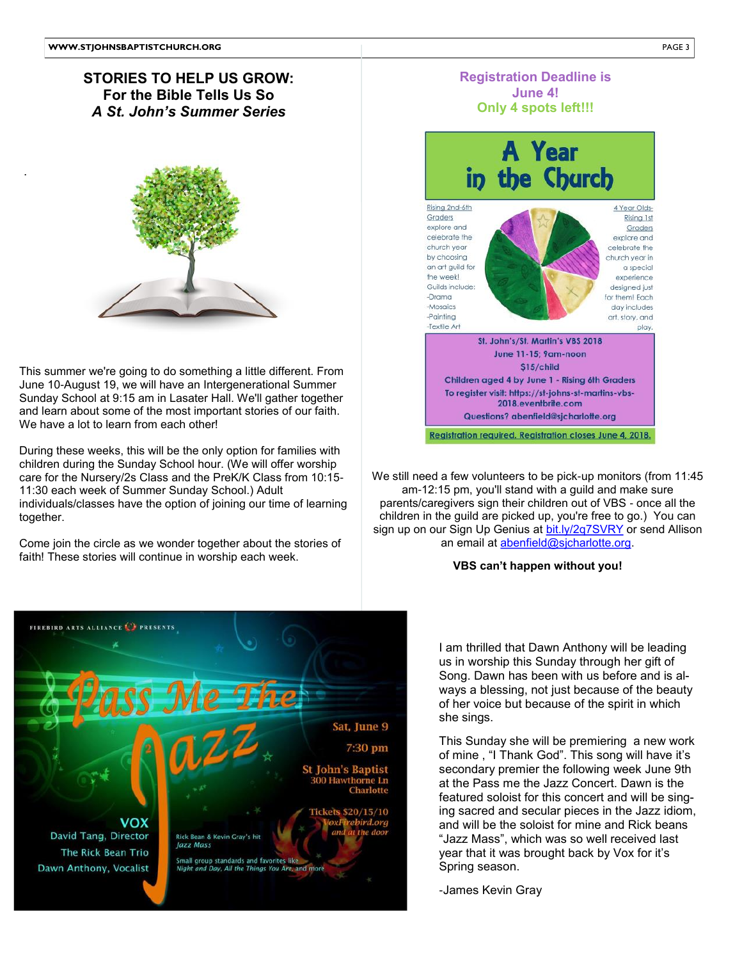.

## **STORIES TO HELP US GROW: For the Bible Tells Us So** *A St. John's Summer Series*



2 June 10-August 19, we will have an Intergenerational Summer 5 Sunday School at 9:15 am in Lasater Hall. We'll gather together This summer we're going to do something a little different. From and learn about some of the most important stories of our faith. We have a lot to learn from each other!

During these weeks, this will be the only option for families with children during the Sunday School hour. (We will offer worship care for the Nursery/2s Class and the PreK/K Class from 10:15- 11:30 each week of Summer Sunday School.) Adult individuals/classes have the option of joining our time of learning together.

faith! These stories will continue in worship each week. 3 Come join the circle as we wonder together about the stories of

Th

Rick Bean & Kevin Gray's hit

Small group standards and favorites like<br>Night and Day, All the Things You Are, and more

Jazz Mass

Sat, June 9 7:30 pm

\$20/15/10

St John's Baptist **300 Hawthorne Ln**<br>Charlotte

**FIREBIRD ARTS ALLIANCE CO PRESENTS** 

**VOX** 

David Tang, Director

Dawn Anthony, Vocalist

The Rick Bean Trio



**Registration Deadline is June 4!**

**Registration required. Registration closes June 4, 2018.** an email at <u>abenfield@sjcharlotte.org</u>. We still need a few volunteers to be pick-up monitors (from 11:45 am-12:15 pm, you'll stand with a guild and make sure parents/caregivers sign their children out of VBS - once all the children in the guild are picked up, you're free to go.) You can sign up on our Sign Up Genius at [bit.ly/2q7SVRY](https://bit.ly/2q7SVRY) or send Allison

2018.eventbrite.com Questions? abenfield@sjcharlotte.org

#### **VBS can't happen without you!**

I am thrilled that Dawn Anthony will be leading us in worship this Sunday through her gift of Song. Dawn has been with us before and is always a blessing, not just because of the beauty of her voice but because of the spirit in which she sings.

This Sunday she will be premiering a new work of mine , "I Thank God". This song will have it's secondary premier the following week June 9th at the Pass me the Jazz Concert. Dawn is the featured soloist for this concert and will be singing sacred and secular pieces in the Jazz idiom, and will be the soloist for mine and Rick beans "Jazz Mass", which was so well received last year that it was brought back by Vox for it's Spring season.

-James Kevin Gray